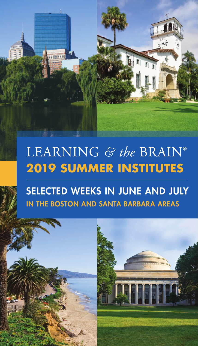# LEARNING *& the* BRAIN® **2019 SUMMER INSTITUTES**

# SELECTED WEEKS IN JUNE AND JULY IN THE BOSTON AND SANTA BARBARA AREAS

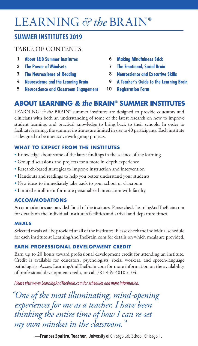# LEARNING *& the* BRAIN®

### **SUMMER INSTITUTES 2019**

### TABLE OF CONTENTS:

- **About L&B Summer Institutes 1**
- **The Power of Mindsets 2**
- **The Neuroscience of Reading 3**
- **Neuroscience and the Learning Brain 4**
- **Neuroscience and Classroom Engagement 5**
- **Making Mindfulness Stick 6**
- **The Emotional, Social Brain 7**
- **Neuroscience and Executive Skills 8**
- **A Teacher's Guide to the Learning Brain 9**
- **Registration Form 10**

### **ABOUT LEARNING** *& the* **BRAIN® SUMMER INSTITUTES**

LEARNING  $\acute{\sigma}$  the BRAIN<sup>®</sup> summer institutes are designed to provide educators and clinicians with both an understanding of some of the latest research on how to improve student learning, and practical knowledge to bring back to their schools. In order to facilitate learning, the summer institutes are limited in size to 40 participants. Each institute is designed to be interactive with group projects.

### **WHAT TO EXPECT FROM THE INSTITUTES**

- Knowledge about some of the latest findings in the science of the learning
- Group discussions and projects for a more in-depth experience
- Research-based strategies to improve instruction and intervention
- Handouts and readings to help you better understand your students
- New ideas to immediately take back to your school or classroom
- Limited enrollment for more personalized interaction with faculty

### **ACCOMMODATIONS**

Accommodations are provided for all of the institutes. Please check LearningAndTheBrain.com for details on the individual institute's facilities and arrival and departure times.

### **MEALS**

Selected meals will be provided at all of the institutes. Please check the individual schedule for each institute at LearningAndTheBrain.com for details on which meals are provided.

### **EARN PROFESSIONAL DEVELOPMENT CREDIT**

Earn up to 20 hours toward professional development credit for attending an institute. Credit is available for educators, psychologists, social workers, and speech-language pathologists. Access LearningAndTheBrain.com for more information on the availability of professional development credit, or call 781-449-4010 x104.

*Please visit www.LearningAndTheBrain.com for schedules and more information.*

*"One of the most illuminating, mind-opening experiences for me as a teacher. I have been thinking the entire time of how I can re-set my own mindset in the classroom."*

 **—Frances Spaltro, Teacher**, University of Chicago Lab School, Chicago, IL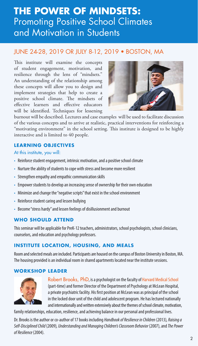## **THE POWER OF MINDSETS:** Promoting Positive School Climates and Motivation in Students

### JUNE 24-28, 2019 OR JULY 8-12, 2019 • BOSTON, MA

This institute will examine the concepts of student engagement, motivation, and resilience through the lens of "mindsets." An understanding of the relationship among these concepts will allow you to design and implement strategies that help to create a positive school climate. The mindsets of effective learners and effective educators will be identified. Techniques for lessening



burnout will be described. Lectures and case examples will be used to facilitate discussion of the various concepts and to arrive at realistic, practical interventions for reinforcing a "motivating environment" in the school setting. This institute is designed to be highly interactive and is limited to 40 people.

### **LEARNING OBJECTIVES**

### At this institute, you will:

- Reinforce student engagement, intrinsic motivation, and a positive school climate
- Nurture the ability of students to cope with stress and become more resilient
- Strengthen empathy and empathic communication skills
- Empower students to develop an increasing sense of ownership for their own education
- Minimize and change the "negative scripts" that exist in the school environment
- Reinforce student caring and lessen bullying
- Become "stress hardy" and lessen feelings of disillusionment and burnout

### **WHO SHOULD ATTEND**

This seminar will be applicable for PreK-12 teachers, administrators, school psychologists, school clinicians, counselors, and education and psychology professors.

### **INSTITUTE LOCATION, HOUSING, AND MEALS**

Room and selected meals are included. Participants are housed on the campus of Boston University in Boston, MA. The housing provided is an individual room in shared apartments located near the institute sessions.

### **WORKSHOP LEADER**



Robert Brooks, PhD, is a psychologist on the faculty of Harvard Medical School (part-time) and former Director of the Department of Psychology at McLean Hospital, a private psychiatric facility. His first position at McLean was as principal of the school in the locked door unit of the child and adolescent program. He has lectured nationally and internationally and written extensively about the themes of school climate, motivation,

family relationships, education, resilience, and achieving balance in our personal and professional lives.

Dr. Brooks is the author or co-author of 17 books including *Handbook of Resilience in Children* (2013)*, Raising a Self-Disciplined Child* (2009)*, Understanding and Managing Children's Classroom Behavior* (2007),and *The Power of Resilience* (2004).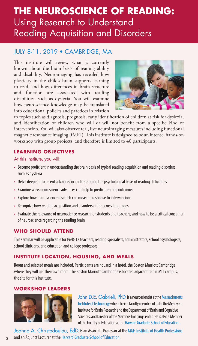# **THE NEUROSCIENCE OF READING:** Using Research to Understand Reading Acquisition and Disorders

### JULY 8-11, 2019 • CAMBRIDGE, MA

This institute will review what is currently known about the brain basis of reading ability and disability. Neuroimaging has revealed how plasticity in the child's brain supports learning to read, and how differences in brain structure and function are associated with reading disabilities, such as dyslexia. You will examine how neuroscience knowledge may be translated into educational policies and practices in relation



to topics such as diagnosis, prognosis, early identification of children at risk for dyslexia, and identification of children who will or will not benefit from a specific kind of intervention. You will also observe real, live neuroimaging measures including functional magnetic resonance imaging (fMRI). This institute is designed to be an intense, hands-on workshop with group projects, and therefore is limited to 40 participants.

### **LEARNING OBJECTIVES**

### At this institute, you will:

- Become proficient in understanding the brain basis of typical reading acquisition and reading disorders, such as dyslexia
- Delve deeper into recent advances in understanding the psychological basis of reading difficulties
- Examine ways neuroscience advances can help to predict reading outcomes
- Explore how neuroscience research can measure response to interventions
- Recognize how reading acquisition and disorders differ across languages
- Evaluate the relevance of neuroscience research for students and teachers, and how to be a critical consumer of neuroscience regarding the reading brain

### **WHO SHOULD ATTEND**

This seminar will be applicable for PreK-12 teachers, reading specialists, administrators, school psychologists, school clinicians, and education and college professors.

### **INSTITUTE LOCATION, HOUSING, AND MEALS**

Room and selected meals are included. Participants are housed in a hotel, the Boston Marriott Cambridge, where they will get their own room. The Boston Marriott Cambridge is located adjacent to the MIT campus, the site for this institute.

### **WORKSHOP LEADERS**



John D.E. Gabrieli, PhD, is a neuroscientist at the Massachusetts Institute of Technology where he is a faculty member of both the McGovern Institute for Brain Research and the Department of Brain and Cognitive Sciences, and Director of the Martinos Imaging Center. He is also a Member of the Faculty of Education at the Harvard Graduate School of Education.

Joanna A. Christodoulou, EdD, is an Associate Professor at the MGH Institute of Health Professions and an Adjunct Lecturer at the Harvard Graduate School of Education.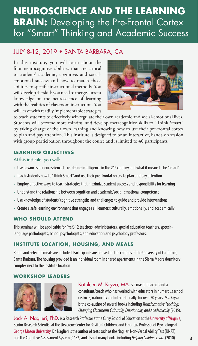# **NEUROSCIENCE AND THE LEARNING BRAIN:** Developing the Pre-Frontal Cortex for "Smart" Thinking and Academic Success

### JULY 8-12, 2019 • SANTA BARBARA, CA

In this institute, you will learn about the four neurocognitive abilities that are critical to students' academic, cognitive, and socialemotional success and how to match those abilities to specific instructional methods. You will develop the skills you need to merge current knowledge on the neuroscience of learning with the realities of classroom instruction. You will leave with readily implementable strategies



to teach students to effectively self-regulate their own academic and social-emotional lives. Students will become more mindful and develop metacognitive skills to "Think Smart" by taking charge of their own learning and knowing how to use their pre-frontal cortex to plan and pay attention. This institute is designed to be an interactive, hands-on session with group participation throughout the course and is limited to 40 participants.

### **LEARNING OBJECTIVES**

### At this institute, you will:

- Use advances in neuroscience to re-define intelligence in the 21<sup>st</sup> century and what it means to be "smart"
- Teach students how to "Think Smart" and use their pre-frontal cortex to plan and pay attention
- Employ effective ways to teach strategies that maximize student success and responsibility for learning
- Understand the relationship between cognition and academic/social-emotional competence
- Use knowledge of students' cognitive strengths and challenges to guide and provide interventions
- Create a safe learning environment that engages all learners: culturally, emotionally, and academically

### **WHO SHOULD ATTEND**

This seminar will be applicable for PreK-12 teachers, administrators, special education teachers, speechlanguage pathologists, school psychologists, and education and psychology professors.

### **INSTITUTE LOCATION, HOUSING, AND MEALS**

Room and selected meals are included. Participants are housed on the campus of the University of California, Santa Barbara. The housing provided is an individual room in shared apartments in the Sierra Madre dormitory complex next to the institute location.

### **WORKSHOP LEADERS**



Kathleen M. Kryza, MA, is a master teacher and a consultant/coach who has worked with educators in numerous school districts, nationally and internationally, for over 30 years. Ms. Kryza is the co-author of several books including *Transformative Teaching: Changing Classrooms Culturally, Emotionally, and Academically* (2015)*.*

Jack A. Naglieri, PhD, is a Research Professor at the Curry School of Education at the University of Virginia, Senior Research Scientist at the Devereux Center for Resilient Children, and Emeritus Professor of Psychology at George Mason University. Dr. Naglieri is the author of tests such as the Naglieri Non-Verbal Ability Test (NNAT) and the Cognitive Assessment System (CAS2) and also of many books including *Helping Children Learn* (2010). 4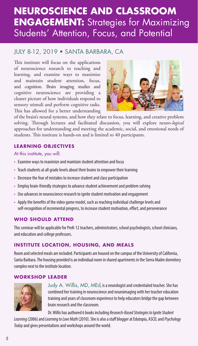# **NEUROSCIENCE AND CLASSROOM ENGAGEMENT:** Strategies for Maximizing Students' Attention, Focus, and Potential

### JULY 8-12, 2019 • SANTA BARBARA, CA

This institute will focus on the applications of neuroscience research to teaching and learning, and examine ways to maximize and maintain student attention, focus, and cognition. Brain imaging studies and cognitive neuroscience are providing a clearer picture of how individuals respond to sensory stimuli and perform cognitive tasks. This has allowed for a better understanding



of the brain's neural systems, and how they relate to focus, learning, and creative problem solving. Through lectures and facilitated discussion, you will explore neuro-*logical* approaches for understanding and meeting the academic, social, and emotional needs of students. This institute is hands-on and is limited to 40 participants.

### **LEARNING OBJECTIVES**

### At this institute, you will:

- Examine ways to maximize and maintain student attention and focus
- Teach students at all grade levels about their brains to empower their learning
- Decrease the fear of mistakes to increase student and class participation
- Employ brain-friendly strategies to advance student achievement and problem solving
- Use advances in neuroscience research to ignite student motivation and engagement
- Apply the benefits of the video game model, such as reaching individual challenge levels and self-recognition of incremental progress, to increase student motivation, effort, and perseverance

### **WHO SHOULD ATTEND**

This seminar will be applicable for PreK-12 teachers, administrators, school psychologists, school clinicians, and education and college professors.

### **INSTITUTE LOCATION, HOUSING, AND MEALS**

Room and selected meals are included. Participants are housed on the campus of the University of California, Santa Barbara. The housing provided is an individual room in shared apartments in the Sierra Madre dormitory complex next to the institute location.

### **WORKSHOP LEADER**



Judy A. Willis, MD, MEd, is a neurologist and credentialed teacher. She has combined her training in neuroscience and neuroimaging with her teacher education training and years of classroom experience to help educators bridge the gap between brain research and the classroom.

Dr. Willis has authored 6 books including *Research-Based Strategies to Ignite Student* 

*Learning* (2006)and *Learning to Love Math* (2010). She is also a staff blogger at Edutopia, ASCD, and *Psychology Today* and gives presentations and workshops around the world.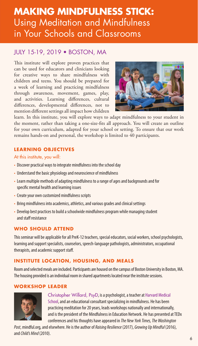# **MAKING MINDFULNESS STICK:** Using Meditation and Mindfulness in Your Schools and Classrooms

### JULY 15-19, 2019 • BOSTON, MA

This institute will explore proven practices that can be used for educators and clinicians looking for creative ways to share mindfulness with children and teens. You should be prepared for a week of learning and practicing mindfulness through awareness, movement, games, play, and activities. Learning differences, cultural differences, developmental differences, not to mention different settings all impact how children



learn. In this institute, you will explore ways to adapt mindfulness to your student in the moment, rather than taking a one-size-fits all approach. You will create an outline for your own curriculum, adapted for your school or setting. To ensure that our work remains hands-on and personal, the workshop is limited to 40 participants.

### **LEARNING OBJECTIVES**

### At this institute, you will:

- Discover practical ways to integrate mindfulness into the school day
- Understand the basic physiology and neuroscience of mindfulness
- Learn multiple methods of adapting mindfulness to a range of ages and backgrounds and for specific mental health and learning issues
- Create your own customized mindfulness scripts
- Bring mindfulness into academics, athletics, and various grades and clinical settings
- Develop best practices to build a schoolwide mindfulness program while managing student and staff resistance

### **WHO SHOULD ATTEND**

This seminar will be applicable for all PreK-12 teachers, special educators, social workers, school psychologists, learning and support specialists, counselors, speech-language pathologists, administrators, occupational therapists, and academic support staff.

### **INSTITUTE LOCATION, HOUSING, AND MEALS**

Room and selected meals are included. Participants are housed on the campus of Boston University in Boston, MA. The housing provided is an individual room in shared apartments located near the institute sessions.

### **WORKSHOP LEADER**



Christopher Willard, PsyD, is a psychologist, a teacher at Harvard Medical School, and an educational consultant specializing in mindfulness. He has been practicing meditation for 20 years, leads workshops nationally and internationally, and is the president of the Mindfulness in Education Network. He has presented at TEDx conferences and his thoughts have appeared in *The New York Times, The Washington* 

*Post*, mindful.org, and elsewhere. He is the author of *Raising Resilience* (2017), *Growing Up Mindful* (2016), and *Child's Mind* (2010).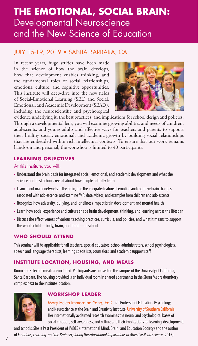## **THE EMOTIONAL, SOCIAL BRAIN:**  Developmental Neuroscience and the New Science of Education

### JULY 15-19, 2019 • SANTA BARBARA, CA

In recent years, huge strides have been made in the science of how the brain develops, how that development enables thinking, and the fundamental roles of social relationships, emotions, culture, and cognitive opportunities. This institute will deep-dive into the new fields of Social-Emotional Learning (SEL) and Social, Emotional, and Academic Development (SEAD), including the neuroscientific and psychological



evidence underlying it, the best practices, and implications for school design and policies. Through a developmental lens, you will examine growing abilities and needs of children, adolescents, and young adults and effective ways for teachers and parents to support their healthy social, emotional, and academic growth by building social relationships that are embedded within rich intellectual contexts. To ensure that our work remains hands-on and personal, the workshop is limited to 40 participants.

### **LEARNING OBJECTIVES**

### At this institute, you will:

- Understand the brain basis for integrated social, emotional, and academic development and what the science and best schools reveal about how people actually learn
- Learn about major networks of the brain, and the integrated nature of emotion and cognitive brain changes associated with adolescence, and examine fMRI data, videos, and examples from children and adolescents
- Recognize how adversity, bullying, and loneliness impact brain development and mental health
- Learn how social experience and culture shape brain development, thinking, and learning across the lifespan
- Discuss the effectiveness of various teaching practices, curricula, and policies, and what it means to support the whole child—body, brain, and mind—in school.

### **WHO SHOULD ATTEND**

This seminar will be applicable for all teachers, special educators, school administrators, school psychologists, speech and language therapists, learning specialists, counselors, and academic support staff.

### **INSTITUTE LOCATION, HOUSING, AND MEALS**

Room and selected meals are included. Participants are housed on the campus of the University of California, Santa Barbara. The housing provided is an individual room in shared apartments in the Sierra Madre dormitory complex next to the institute location.



### **WORKSHOP LEADER**

Mary Helen Immordino-Yang, EdD, is a Professor of Education, Psychology, and Neuroscience at the Brain and Creativity Institute, University of Southern California. Her internationally acclaimed research examines the neural and psychological bases of social emotion, self-awareness, and culture and their implications for learning, development,

and schools. She is Past President of IMBES (International Mind, Brain, and Education Society) and the author of *Emotions, Learning, and the Brain: Exploring the Educational Implications of Affective Neuroscience* (2015).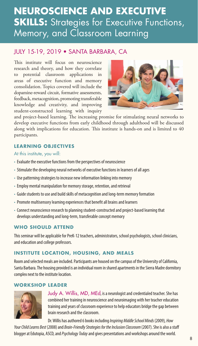# **NEUROSCIENCE AND EXECUTIVE SKILLS:** Strategies for Executive Functions, Memory, and Classroom Learning

### JULY 15-19, 2019 • SANTA BARBARA, CA

This institute will focus on neuroscience research and theory, and how they correlate to potential classroom applications in areas of executive function and memory consolidation. Topics covered will include the dopamine-reward circuit, formative assessments, feedback, metacognition, promoting transferable knowledge and creativity, and improving student-constructed learning with inquiry



and project-based learning. The increasing promise for stimulating neural networks to develop executive functions from early childhood through adulthood will be discussed along with implications for education. This institute is hands-on and is limited to 40 participants.

### **LEARNING OBJECTIVES**

### At this institute, you will:

- Evaluate the executive functions from the perspectives of neuroscience
- Stimulate the developing neural networks of executive functions in learners of all ages
- Use patterning strategies to increase new information linking into memory
- Employ mental manipulation for memory storage, retention, and retrieval
- Guide students to use and build skills of metacognition and long-term memory formation
- Promote multisensory learning experiences that benefit all brains and learners
- Connect neuroscience research to planning student-constructed and project-based learning that develops understanding and long-term, transferable concept memory

### **WHO SHOULD ATTEND**

This seminar will be applicable for PreK-12 teachers, administrators, school psychologists, school clinicians, and education and college professors.

### **INSTITUTE LOCATION, HOUSING, AND MEALS**

Room and selected meals are included. Participants are housed on the campus of the University of California, Santa Barbara. The housing provided is an individual room in shared apartments in the Sierra Madre dormitory complex next to the institute location.

### **WORKSHOP LEADER**



Judy A. Willis, MD, MEd, is a neurologist and credentialed teacher. She has combined her training in neuroscience and neuroimaging with her teacher education training and years of classroom experience to help educators bridge the gap between brain research and the classroom.

Dr. Willis has authored 6 books including *Inspiring Middle School Minds* (2009)*, How*  Your Child Learns Best (2008) and *Brain-Friendly Strategies for the Inclusion Classroom* (2007). She is also a staff blogger at Edutopia, ASCD, and *Psychology Today* and gives presentations and workshops around the world.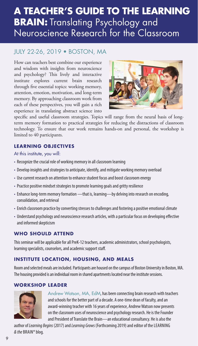# **A TEACHER'S GUIDE TO THE LEARNING BRAIN:** Translating Psychology and Neuroscience Research for the Classroom

### JULY 22-26, 2019 • BOSTON, MA

How can teachers best combine our experience and wisdom with insights from neuroscience and psychology? This lively and interactive institute explores current brain research through five essential topics: working memory, attention, emotion, motivation, and long-term memory. By approaching classroom work from each of these perspectives, you will gain a rich experience in translating abstract science into



specific and useful classroom strategies. Topics will range from the neural basis of longterm memory formation to practical strategies for reducing the distractions of classroom technology. To ensure that our work remains hands-on and personal, the workshop is limited to 40 participants.

### **LEARNING OBJECTIVES**

At this institute, you will:

- Recognize the crucial role of working memory in all classroom learning
- Develop insights and strategies to anticipate, identify, and mitigate working memory overload
- Use current research on attention to enhance student focus and boost classroom energy
- Practice positive mindset strategies to promote learning goals and gritty resilience
- Enhance long-term memory formation that is, learning-by delving into research on encoding, consolidation, and retrieval
- Enrich classroom practice by converting stresses to challenges and fostering a positive emotional climate
- Understand psychology and neuroscience research articles, with a particular focus on developing effective and informed skepticism

### **WHO SHOULD ATTEND**

This seminar will be applicable for all PreK-12 teachers, academic administrators, school psychologists, learning specialists, counselors, and academic support staff.

### **INSTITUTE LOCATION, HOUSING, AND MEALS**

Room and selected meals are included. Participants are housed on the campus of Boston University in Boston, MA. The housing provided is an individual room in shared apartments located near the institute sessions.

### **WORKSHOP LEADER**



Andrew Watson, MA, EdM, has been connecting brain research with teachers and schools for the better part of a decade. A one-time dean of faculty, and an award-winning teacher with 16 years of experience, Andrew Watson now presents on the classroom uses of neuroscience and psychology research. He is the Founder and President of Translate the Brain—an educational consultancy. He is also the

author of *Learning Begins* (2017) and *Learning Grows* (Forthcoming 2019) and editor of the LEARNING *& the* BRAIN® blog.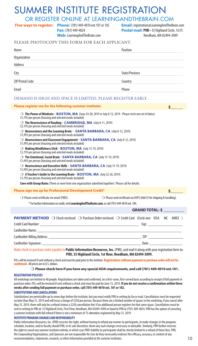## SUMMER INSTITUTE REGISTRATION

OR REGISTER ONLINE AT LEARNINGANDTHEBRAIN.COM

**Phone:** (781) 449-4010 ext.101 or 102 **Five ways to register: Email:** registration@LearningAndTheBrain.com

**Please register me for the following summer institute:**

**Fax:** (781) 449-4024 **Web:** LearningAndTheBrain.com **Postal mail: PIRI** • 35 Highland Circle, 1st Fl. Needham, MA 02494-3099

**\$\_\_\_\_\_\_**

| PLEASE PHOTOCOPY THIS FORM FOR EACH APPLICANT. |
|------------------------------------------------|
|------------------------------------------------|

| Name            | Position       |
|-----------------|----------------|
| Organization    |                |
| Address         |                |
| City            | State/Province |
| ZIP/Postal Code | Country        |
| Email           | Phone          |

### DEMAND IS HIGH AND SPACE IS LIMITED. PLEASE REGISTER EARLY.

### m **The Power of Mindsets - BOSTON, MA** (June 24-28, 2019 or July 8-12, 2019 - Please circle one set of dates) \$1,795 per person (housing and selected meals included) m **The Neuroscience of Reading - CAMBRIDGE, MA** (July 8-11, 2019) \$2,195 per person (housing and selected meals included) m **Neuroscience and the Learning Brain - SANTA BARBARA, CA** (July 8-12, 2019) \$1,995 per person (housing and selected meals included) m **Neuroscience and Classroom Engagement - SANTA BARBARA, CA** (July 8-12, 2019) \$1,995 per person (housing and selected meals included) m **Making Mindfulness Stick - BOSTON, MA** (July 15-19, 2019) \$1,795 per person (housing and selected meals included) m **The Emotional, Social Brain - SANTA BARBARA, CA** (July 15-19, 2019) \$1,995 per person (housing and selected meals included) m **Neuroscience and Executive Skills - SANTA BARBARA, CA** (July 15-19, 2019) \$1,995 per person (housing and selected meals included) m **A Teacher's Guide to the Learning Brain - BOSTON, MA** (July 22-26, 2019) \$1,795 per person (housing and selected meals included) **Save with Group Rates** (Three or more from one organization submitted together). Please call for details. **Please sign me up for Professional Development Credit\*** O Please send certificate via email (FREE). m Please send certificate via USPS (Add \$5 for shipping & handling). \* For further information on credit, visit **LearningAndTheBrain.com**, or call (781) 449-4010 ext. 104. **PAYMENT METHOD**  $\bigcirc$  Check enclosed  $\bigcirc$  Purchase Order enclosed  $\bigcirc$  Credit Card (Circle one: VISA MC AMEX ) Credit Card Number: \_\_\_\_\_\_\_\_\_\_\_\_\_\_\_\_\_\_\_\_\_\_\_\_\_\_\_\_\_\_\_\_\_\_\_\_\_\_\_\_\_\_\_\_\_\_\_\_ Exp: \_\_\_\_\_\_\_\_\_\_\_\_\_\_\_\_\_ Cardholder Name: Cardholder Billing Address: \_\_\_\_\_\_\_\_\_\_\_\_\_\_\_\_\_\_\_\_\_\_\_\_\_\_\_\_\_\_\_\_\_\_\_\_\_\_\_\_\_\_\_\_\_ ZIP: \_\_\_\_\_\_\_\_\_\_\_\_\_\_\_\_\_ **\$\_\_\_\_\_\_ GRAND TOTAL: \$ \_\_\_\_\_\_\_\_\_\_**

Cardholder Signature: \_\_\_\_\_\_\_\_\_\_\_\_\_\_\_\_\_\_\_\_\_\_\_\_\_\_\_\_\_\_\_\_\_\_\_\_\_\_\_\_\_\_\_\_\_\_\_\_ Date: \_\_\_\_\_\_\_\_\_\_\_\_\_\_\_\_

Make check or purchase order payable to **Public Information Resources, Inc.** (PIRI), and mail it along with your registration form to: **PIRI, 35 Highland Circle, 1st floor, Needham, MA 02494-3099.** 

P.O.s will be invoiced if sent without a check and must be paid prior to the institute. **Registrations without payment or purchase order will not be confirmed.**All prices are in U.S. dollars.

### m **Please check here if you have any special ADA requirements, and call (781) 449-4010 ext.101.**

### **REGISTRATION POLICIES**

All workshops are limited to 40 people. Registrations are taken and confirmed, on a first-come, first-served basis according to receipt of full payment or purchase order. P.O.s will be invoiced if sent without a check and must be paid by June 15, 2019. **If you do not receive a confirmation within three weeks after sending full payment or purchase order, call (781) 449-4010 ext. 101 or 102.**

**SUBSTITUTIONS AND CANCELLATIONS**

Substitutions are permissible up to seven days before the institute, but you must notify PIRI in writing by fax or mail. Cancellations must be requested no later than May 31, 2019 and will incur a charge of \$250 per person. Because there are a limited number of spaces in the workshop, if you cancel after May 31, 2019, there will only be a refund (minus a \$250 cancellation fee) if an additional person registers for that same space. Cancellations must be sent in writing to PIRI at: 35 Highland Circle, First Floor, Needham, MA 02494-3099 or faxed to PIRI at (781) 449-4024. PIRI has the option of canceling a summer institute with full refund if there is not a minimum of 15 attendees registered by May 31, 2019.

### **INSTITUTE PROGRAM CHANGES AND RESPONSIBILITY**

Public Information Resources, Inc. (PIRI) reserves the right, without having to refund any monies to participants, to make changes in the program, schedule, location, and/or faculty should PIRI, in its sole discretion, deem any such changes necessary or advisable. Similarly, PIRI further reserves the right to cancel any summer institute entirely, in which case PIRI's liability to participants shall be strictly limited to a refund of those fees. PIRI, the Cooperating Organizations, and Sponsors are not responsible for (nor do they necessarily endorse) the efficacy, accuracy, or content of any recommendations, statements, research, or other information provided at the summer institutes.